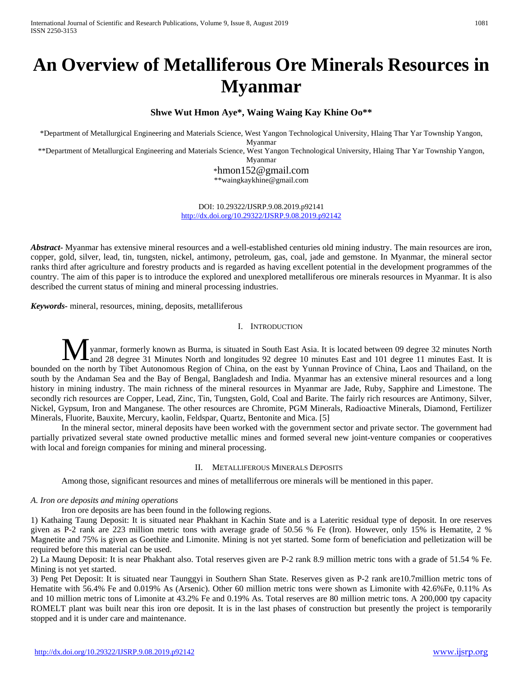# **An Overview of Metalliferous Ore Minerals Resources in Myanmar**

## **Shwe Wut Hmon Aye\*, Waing Waing Kay Khine Oo\*\***

\*Department of Metallurgical Engineering and Materials Science, West Yangon Technological University, Hlaing Thar Yar Township Yangon, Myanmar

\*\*Department of Metallurgical Engineering and Materials Science, West Yangon Technological University, Hlaing Thar Yar Township Yangon,

Myanmar

[\\*hmon152@gmail.com](mailto:hmon152@gmail.com)

\*\*waingkaykhine@gmail.com

DOI: 10.29322/IJSRP.9.08.2019.p92141 <http://dx.doi.org/10.29322/IJSRP.9.08.2019.p92142>

*Abstract***-** Myanmar has extensive mineral resources and a well-established centuries old mining industry. The main resources are iron, copper, gold, silver, lead, tin, tungsten, nickel, antimony, petroleum, gas, coal, jade and gemstone. In Myanmar, the mineral sector ranks third after agriculture and forestry products and is regarded as having excellent potential in the development programmes of the country. The aim of this paper is to introduce the explored and unexplored metalliferous ore minerals resources in Myanmar. It is also described the current status of mining and mineral processing industries.

*Keywords-* mineral, resources, mining, deposits, metalliferous

#### I. INTRODUCTION

yanmar, formerly known as Burma, is situated in South East Asia. It is located between 09 degree 32 minutes North M yanmar, formerly known as Burma, is situated in South East Asia. It is located between 09 degree 32 minutes North and 28 degree 31 Minutes North and longitudes 92 degree 10 minutes East and 101 degree 11 minutes East. It bounded on the north by Tibet Autonomous Region of China, on the east by Yunnan Province of China, Laos and Thailand, on the south by the Andaman Sea and the Bay of Bengal, Bangladesh and India. Myanmar has an extensive mineral resources and a long history in mining industry. The main richness of the mineral resources in Myanmar are Jade, Ruby, Sapphire and Limestone. The secondly rich resources are Copper, Lead, Zinc, Tin, Tungsten, Gold, Coal and Barite. The fairly rich resources are Antimony, Silver, Nickel, Gypsum, Iron and Manganese. The other resources are Chromite, PGM Minerals, Radioactive Minerals, Diamond, Fertilizer Minerals, Fluorite, Bauxite, Mercury, kaolin, Feldspar, Quartz, Bentonite and Mica. [5]

In the mineral sector, mineral deposits have been worked with the government sector and private sector. The government had partially privatized several state owned productive metallic mines and formed several new joint-venture companies or cooperatives with local and foreign companies for mining and mineral processing.

#### II. METALLIFEROUS MINERALS DEPOSITS

Among those, significant resources and mines of metalliferrous ore minerals will be mentioned in this paper.

## *A. Iron ore deposits and mining operations*

Iron ore deposits are has been found in the following regions.

1) Kathaing Taung Deposit: It is situated near Phakhant in Kachin State and is a Lateritic residual type of deposit. In ore reserves given as P-2 rank are 223 million metric tons with average grade of 50.56 % Fe (Iron). However, only 15% is Hematite, 2 % Magnetite and 75% is given as Goethite and Limonite. Mining is not yet started. Some form of beneficiation and pelletization will be required before this material can be used.

2) La Maung Deposit: It is near Phakhant also. Total reserves given are P-2 rank 8.9 million metric tons with a grade of 51.54 % Fe. Mining is not yet started.

3) Peng Pet Deposit: It is situated near Taunggyi in Southern Shan State. Reserves given as P-2 rank are10.7million metric tons of Hematite with 56.4% Fe and 0.019% As (Arsenic). Other 60 million metric tons were shown as Limonite with 42.6%Fe, 0.11% As and 10 million metric tons of Limonite at 43.2% Fe and 0.19% As. Total reserves are 80 million metric tons. A 200,000 tpy capacity ROMELT plant was built near this iron ore deposit. It is in the last phases of construction but presently the project is temporarily stopped and it is under care and maintenance.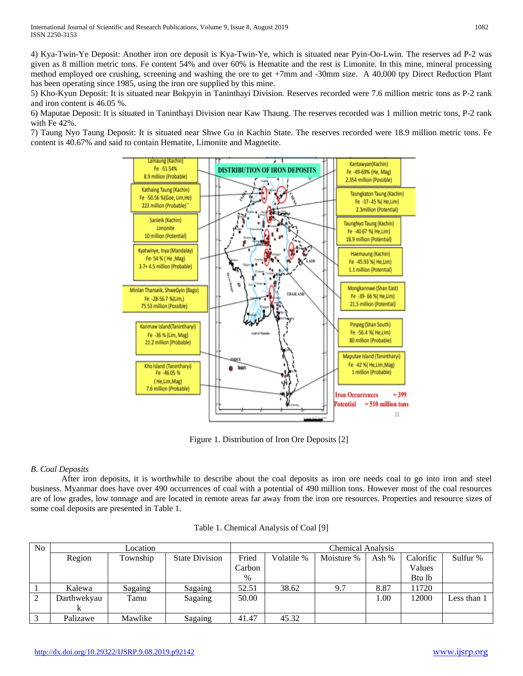4) Kya-Twin-Ye Deposit: Another iron ore deposit is Kya-Twin-Ye, which is situated near Pyin-Oo-Lwin. The reserves ad P-2 was given as 8 million metric tons. Fe content 54% and over 60% is Hematite and the rest is Limonite. In this mine, mineral processing method employed ore crushing, screening and washing the ore to get +7mm and -30mm size. A 40,000 tpy Direct Reduction Plant has been operating since 1985, using the iron ore supplied by this mine.

5) Kho-Kyun Deposit: It is situated near Bokpyin in Taninthayi Division. Reserves recorded were 7.6 million metric tons as P-2 rank and iron content is 46.05 %.

6) Maputae Deposit: It is situated in Taninthayi Division near Kaw Thaung. The reserves recorded was 1 million metric tons, P-2 rank with Fe 42%.

7) Taung Nyo Taung Deposit: It is situated near Shwe Gu in Kachin State. The reserves recorded were 18.9 million metric tons. Fe content is 40.67% and said to contain Hematite, Limonite and Magnetite.



Figure 1. Distribution of Iron Ore Deposits [2]

## *B. Coal Deposits*

After iron deposits, it is worthwhile to describe about the coal deposits as iron ore needs coal to go into iron and steel business. Myanmar does have over 490 occurrences of coal with a potential of 490 million tons. However most of the coal resources are of low grades, low tonnage and are located in remote areas far away from the iron ore resources. Properties and resource sizes of some coal deposits are presented in Table 1.

| No             |             | <b>Chemical Analysis</b> |                       |        |            |            |         |           |             |
|----------------|-------------|--------------------------|-----------------------|--------|------------|------------|---------|-----------|-------------|
|                | Region      | Township                 | <b>State Division</b> | Fried  | Volatile % | Moisture % | Ash $%$ | Calorific | Sulfur %    |
|                |             |                          |                       | Carbon |            |            |         | Values    |             |
|                |             |                          |                       | $\%$   |            |            |         | Btu lb    |             |
|                | Kalewa      | Sagaing                  | Sagaing               | 52.51  | 38.62      | 9.7        | 8.87    | 11720     |             |
| $\mathfrak{D}$ | Darthwekyau | Tamu                     | Sagaing               | 50.00  |            |            | 00.1    | 12000     | Less than 1 |
|                |             |                          |                       |        |            |            |         |           |             |
| $\mathbf{z}$   | Palizawe    | Mawlike                  | Sagaing               | 41.47  | 45.32      |            |         |           |             |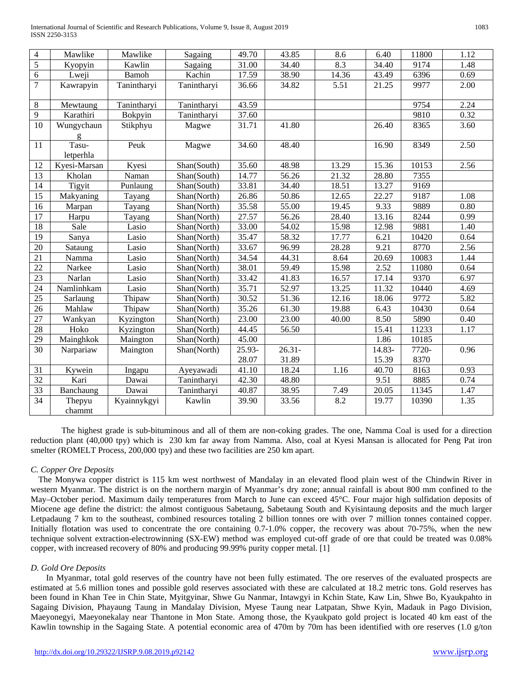| $\overline{4}$  | Mawlike            | Mawlike     | Sagaing     | 49.70               | 43.85     | 8.6   | 6.40   | 11800 | 1.12 |
|-----------------|--------------------|-------------|-------------|---------------------|-----------|-------|--------|-------|------|
| $\overline{5}$  | Kyopyin            | Kawlin      | Sagaing     | 31.00               | 34.40     | 8.3   | 34.40  | 9174  | 1.48 |
| $\overline{6}$  | Lweji              | Bamoh       | Kachin      | 17.59               | 38.90     | 14.36 | 43.49  | 6396  | 0.69 |
| $\overline{7}$  | Kawrapyin          | Tanintharyi | Tanintharyi | 36.66               | 34.82     | 5.51  | 21.25  | 9977  | 2.00 |
| $\,$ 8 $\,$     | Mewtaung           | Tanintharyi | Tanintharyi | 43.59               |           |       |        | 9754  | 2.24 |
| 9               | Karathiri          | Bokpyin     | Tanintharyi | 37.60               |           |       |        | 9810  | 0.32 |
| 10              | Wungychaun<br>g    | Stikphyu    | Magwe       | 31.71               | 41.80     |       | 26.40  | 8365  | 3.60 |
| 11              | Tasu-<br>letperhla | Peuk        | Magwe       | 34.60               | 48.40     |       | 16.90  | 8349  | 2.50 |
| 12              | Kyesi-Marsan       | Kyesi       | Shan(South) | 35.60               | 48.98     | 13.29 | 15.36  | 10153 | 2.56 |
| $\overline{13}$ | Kholan             | Naman       | Shan(South) | 14.77               | 56.26     | 21.32 | 28.80  | 7355  |      |
| 14              | Tigyit             | Punlaung    | Shan(South) | 33.81               | 34.40     | 18.51 | 13.27  | 9169  |      |
| 15              | Makyaning          | Tayang      | Shan(North) | $\overline{2}$ 6.86 | 50.86     | 12.65 | 22.27  | 9187  | 1.08 |
| 16              | Marpan             | Tayang      | Shan(North) | 35.58               | 55.00     | 19.45 | 9.33   | 9889  | 0.80 |
| 17              | Harpu              | Tayang      | Shan(North) | 27.57               | 56.26     | 28.40 | 13.16  | 8244  | 0.99 |
| 18              | Sale               | Lasio       | Shan(North) | 33.00               | 54.02     | 15.98 | 12.98  | 9881  | 1.40 |
| 19              | Sanya              | Lasio       | Shan(North) | 35.47               | 58.32     | 17.77 | 6.21   | 10420 | 0.64 |
| $\overline{20}$ | Sataung            | Lasio       | Shan(North) | 33.67               | 96.99     | 28.28 | 9.21   | 8770  | 2.56 |
| 21              | Namma              | Lasio       | Shan(North) | 34.54               | 44.31     | 8.64  | 20.69  | 10083 | 1.44 |
| $\overline{22}$ | Narkee             | Lasio       | Shan(North) | 38.01               | 59.49     | 15.98 | 2.52   | 11080 | 0.64 |
| 23              | Narlan             | Lasio       | Shan(North) | 33.42               | 41.83     | 16.57 | 17.14  | 9370  | 6.97 |
| 24              | Namlinhkam         | Lasio       | Shan(North) | 35.71               | 52.97     | 13.25 | 11.32  | 10440 | 4.69 |
| $\overline{25}$ | Sarlaung           | Thipaw      | Shan(North) | 30.52               | 51.36     | 12.16 | 18.06  | 9772  | 5.82 |
| $\overline{26}$ | Mahlaw             | Thipaw      | Shan(North) | 35.26               | 61.30     | 19.88 | 6.43   | 10430 | 0.64 |
| $\overline{27}$ | Wankyan            | Kyzington   | Shan(North) | 23.00               | 23.00     | 40.00 | 8.50   | 5890  | 0.40 |
| 28              | Hoko               | Kyzington   | Shan(North) | 44.45               | 56.50     |       | 15.41  | 11233 | 1.17 |
| 29              | Mainghkok          | Maington    | Shan(North) | 45.00               |           |       | 1.86   | 10185 |      |
| 30              | Narpariaw          | Maington    | Shan(North) | 25.93-              | $26.31 -$ |       | 14.83- | 7720- | 0.96 |
|                 |                    |             |             | 28.07               | 31.89     |       | 15.39  | 8370  |      |
| 31              | Kywein             | Ingapu      | Ayeyawadi   | 41.10               | 18.24     | 1.16  | 40.70  | 8163  | 0.93 |
| 32              | Kari               | Dawai       | Tanintharyi | 42.30               | 48.80     |       | 9.51   | 8885  | 0.74 |
| 33              | Banchaung          | Dawai       | Tanintharyi | 40.87               | 38.95     | 7.49  | 20.05  | 11345 | 1.47 |
| $\overline{34}$ | Thepyu<br>chammt   | Kyainnykgyi | Kawlin      | 39.90               | 33.56     | 8.2   | 19.77  | 10390 | 1.35 |

The highest grade is sub-bituminous and all of them are non-coking grades. The one, Namma Coal is used for a direction reduction plant (40,000 tpy) which is 230 km far away from Namma. Also, coal at Kyesi Mansan is allocated for Peng Pat iron smelter (ROMELT Process, 200,000 tpy) and these two facilities are 250 km apart.

## *C. Copper Ore Deposits*

The Monywa copper district is 115 km west northwest of Mandalay in an elevated flood plain west of the Chindwin River in western Myanmar. The district is on the northern margin of Myanmar's dry zone; annual rainfall is about 800 mm confined to the May–October period. Maximum daily temperatures from March to June can exceed 45°C. Four major high sulfidation deposits of Miocene age define the district: the almost contiguous Sabetaung, Sabetaung South and Kyisintaung deposits and the much larger Letpadaung 7 km to the southeast, combined resources totaling 2 billion tonnes ore with over 7 million tonnes contained copper. Initially flotation was used to concentrate the ore containing 0.7-1.0% copper, the recovery was about 70-75%, when the new technique solvent extraction-electrowinning (SX-EW) method was employed cut-off grade of ore that could be treated was 0.08% copper, with increased recovery of 80% and producing 99.99% purity copper metal. [1]

#### *D. Gold Ore Deposits*

In Myanmar, total gold reserves of the country have not been fully estimated. The ore reserves of the evaluated prospects are estimated at 5.6 million tones and possible gold reserves associated with these are calculated at 18.2 metric tons. Gold reserves has been found in Khan Tee in Chin State, Myitgyinar, Shwe Gu Nanmar, Intawgyi in Kchin State, Kaw Lin, Shwe Bo, Kyaukpahto in Sagaing Division, Phayaung Taung in Mandalay Division, Myese Taung near Latpatan, Shwe Kyin, Madauk in Pago Division, Maeyonegyi, Maeyonekalay near Thantone in Mon State. Among those, the Kyaukpato gold project is located 40 km east of the Kawlin township in the Sagaing State. A potential economic area of 470m by 70m has been identified with ore reserves (1.0 g/ton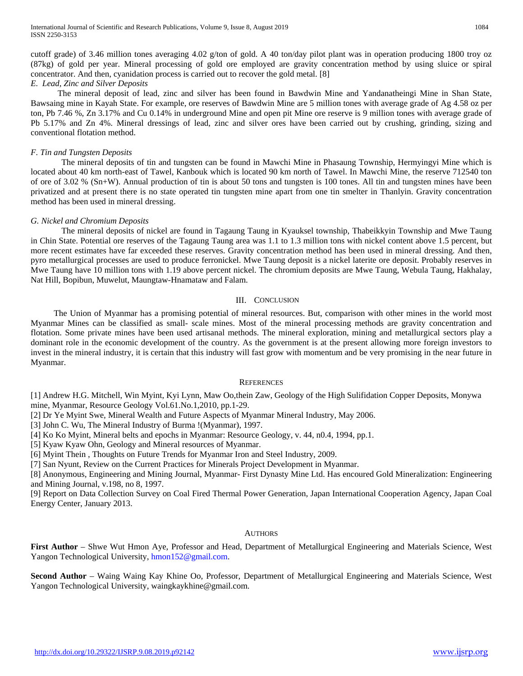cutoff grade) of 3.46 million tones averaging 4.02 g/ton of gold. A 40 ton/day pilot plant was in operation producing 1800 troy oz (87kg) of gold per year. Mineral processing of gold ore employed are gravity concentration method by using sluice or spiral concentrator. And then, cyanidation process is carried out to recover the gold metal. [8] *E. Lead, Zinc and Silver Deposits* 

The mineral deposit of lead, zinc and silver has been found in Bawdwin Mine and Yandanatheingi Mine in Shan State, Bawsaing mine in Kayah State. For example, ore reserves of Bawdwin Mine are 5 million tones with average grade of Ag 4.58 oz per ton, Pb 7.46 %, Zn 3.17% and Cu 0.14% in underground Mine and open pit Mine ore reserve is 9 million tones with average grade of Pb 5.17% and Zn 4%. Mineral dressings of lead, zinc and silver ores have been carried out by crushing, grinding, sizing and conventional flotation method.

#### *F. Tin and Tungsten Deposits*

The mineral deposits of tin and tungsten can be found in Mawchi Mine in Phasaung Township, Hermyingyi Mine which is located about 40 km north-east of Tawel, Kanbouk which is located 90 km north of Tawel. In Mawchi Mine, the reserve 712540 ton of ore of 3.02 % (Sn+W). Annual production of tin is about 50 tons and tungsten is 100 tones. All tin and tungsten mines have been privatized and at present there is no state operated tin tungsten mine apart from one tin smelter in Thanlyin. Gravity concentration method has been used in mineral dressing.

#### *G. Nickel and Chromium Deposits*

The mineral deposits of nickel are found in Tagaung Taung in Kyauksel township, Thabeikkyin Township and Mwe Taung in Chin State. Potential ore reserves of the Tagaung Taung area was 1.1 to 1.3 million tons with nickel content above 1.5 percent, but more recent estimates have far exceeded these reserves. Gravity concentration method has been used in mineral dressing. And then, pyro metallurgical processes are used to produce ferronickel. Mwe Taung deposit is a nickel laterite ore deposit. Probably reserves in Mwe Taung have 10 million tons with 1.19 above percent nickel. The chromium deposits are Mwe Taung, Webula Taung, Hakhalay, Nat Hill, Bopibun, Muwelut, Maungtaw-Hnamataw and Falam.

#### III. CONCLUSION

The Union of Myanmar has a promising potential of mineral resources. But, comparison with other mines in the world most Myanmar Mines can be classified as small- scale mines. Most of the mineral processing methods are gravity concentration and flotation. Some private mines have been used artisanal methods. The mineral exploration, mining and metallurgical sectors play a dominant role in the economic development of the country. As the government is at the present allowing more foreign investors to invest in the mineral industry, it is certain that this industry will fast grow with momentum and be very promising in the near future in Myanmar.

#### **REFERENCES**

[1] Andrew H.G. Mitchell, Win Myint, Kyi Lynn, Maw Oo,thein Zaw, Geology of the High Sulifidation Copper Deposits, Monywa mine, Myanmar, Resource Geology Vol.61.No.1,2010, pp.1-29.

[2] Dr Ye Myint Swe, Mineral Wealth and Future Aspects of Myanmar Mineral Industry, May 2006.

[3] John C. Wu, The Mineral Industry of Burma !(Myanmar), 1997.

[4] Ko Ko Myint, Mineral belts and epochs in Myanmar: Resource Geology, v. 44, n0.4, 1994, pp.1.

[5] Kyaw Kyaw Ohn, Geology and Mineral resources of Myanmar.

[6] Myint Thein , Thoughts on Future Trends for Myanmar Iron and Steel Industry, 2009.

[7] San Nyunt, Review on the Current Practices for Minerals Project Development in Myanmar.

[8] Anonymous, Engineering and Mining Journal, Myanmar- First Dynasty Mine Ltd. Has encoured Gold Mineralization: Engineering and Mining Journal, v.198, no 8, 1997.

[9] Report on Data Collection Survey on Coal Fired Thermal Power Generation, Japan International Cooperation Agency, Japan Coal Energy Center, January 2013.

#### **AUTHORS**

**First Author** – Shwe Wut Hmon Aye, Professor and Head, Department of Metallurgical Engineering and Materials Science, West Yangon Technological University, [hmon152@gmail.com.](mailto:hmon152@gmail.com)

**Second Author** – Waing Waing Kay Khine Oo, Professor, Department of Metallurgical Engineering and Materials Science, West Yangon Technological University, waingkaykhine@gmail.com.